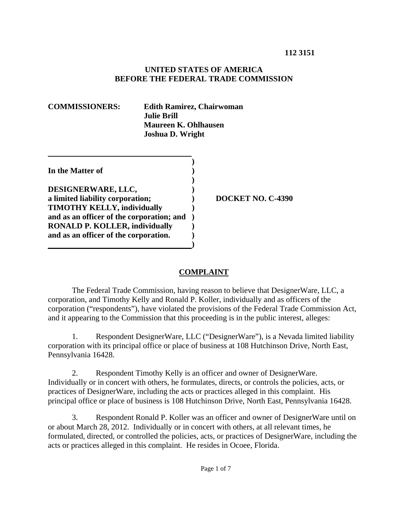#### **UNITED STATES OF AMERICA BEFORE THE FEDERAL TRADE COMMISSION**

| <b>COMMISSIONERS:</b> |  |
|-----------------------|--|
|-----------------------|--|

**Edith Ramirez, Chairwoman Julie Brill Maureen K. Ohlhausen Joshua D. Wright** 

| In the Matter of                                                                |  |
|---------------------------------------------------------------------------------|--|
| DESIGNERWARE, LLC,                                                              |  |
| a limited liability corporation;                                                |  |
| <b>TIMOTHY KELLY, individually</b><br>and as an officer of the corporation; and |  |
| <b>RONALD P. KOLLER, individually</b>                                           |  |
| and as an officer of the corporation.                                           |  |

**a limited liability corporation; ) DOCKET NO. C-4390** 

## **COMPLAINT**

The Federal Trade Commission, having reason to believe that DesignerWare, LLC, a corporation, and Timothy Kelly and Ronald P. Koller, individually and as officers of the corporation ("respondents"), have violated the provisions of the Federal Trade Commission Act, and it appearing to the Commission that this proceeding is in the public interest, alleges:

1. Respondent DesignerWare, LLC ("DesignerWare"), is a Nevada limited liability corporation with its principal office or place of business at 108 Hutchinson Drive, North East, Pennsylvania 16428.

2. Respondent Timothy Kelly is an officer and owner of DesignerWare. Individually or in concert with others, he formulates, directs, or controls the policies, acts, or practices of DesignerWare, including the acts or practices alleged in this complaint. His principal office or place of business is 108 Hutchinson Drive, North East, Pennsylvania 16428.

3. Respondent Ronald P. Koller was an officer and owner of DesignerWare until on or about March 28, 2012. Individually or in concert with others, at all relevant times, he formulated, directed, or controlled the policies, acts, or practices of DesignerWare, including the acts or practices alleged in this complaint. He resides in Ocoee, Florida.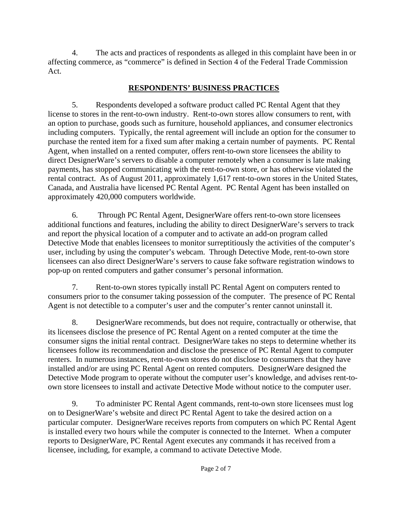4. The acts and practices of respondents as alleged in this complaint have been in or affecting commerce, as "commerce" is defined in Section 4 of the Federal Trade Commission Act.

# **RESPONDENTS' BUSINESS PRACTICES**

5. Respondents developed a software product called PC Rental Agent that they license to stores in the rent-to-own industry. Rent-to-own stores allow consumers to rent, with an option to purchase, goods such as furniture, household appliances, and consumer electronics including computers. Typically, the rental agreement will include an option for the consumer to purchase the rented item for a fixed sum after making a certain number of payments. PC Rental Agent, when installed on a rented computer, offers rent-to-own store licensees the ability to direct DesignerWare's servers to disable a computer remotely when a consumer is late making payments, has stopped communicating with the rent-to-own store, or has otherwise violated the rental contract. As of August 2011, approximately 1,617 rent-to-own stores in the United States, Canada, and Australia have licensed PC Rental Agent. PC Rental Agent has been installed on approximately 420,000 computers worldwide.

6. Through PC Rental Agent, DesignerWare offers rent-to-own store licensees additional functions and features, including the ability to direct DesignerWare's servers to track and report the physical location of a computer and to activate an add-on program called Detective Mode that enables licensees to monitor surreptitiously the activities of the computer's user, including by using the computer's webcam. Through Detective Mode, rent-to-own store licensees can also direct DesignerWare's servers to cause fake software registration windows to pop-up on rented computers and gather consumer's personal information.

7. Rent-to-own stores typically install PC Rental Agent on computers rented to consumers prior to the consumer taking possession of the computer. The presence of PC Rental Agent is not detectible to a computer's user and the computer's renter cannot uninstall it.

8. DesignerWare recommends, but does not require, contractually or otherwise, that its licensees disclose the presence of PC Rental Agent on a rented computer at the time the consumer signs the initial rental contract. DesignerWare takes no steps to determine whether its licensees follow its recommendation and disclose the presence of PC Rental Agent to computer renters. In numerous instances, rent-to-own stores do not disclose to consumers that they have installed and/or are using PC Rental Agent on rented computers. DesignerWare designed the Detective Mode program to operate without the computer user's knowledge, and advises rent-toown store licensees to install and activate Detective Mode without notice to the computer user.

9. To administer PC Rental Agent commands, rent-to-own store licensees must log on to DesignerWare's website and direct PC Rental Agent to take the desired action on a particular computer. DesignerWare receives reports from computers on which PC Rental Agent is installed every two hours while the computer is connected to the Internet. When a computer reports to DesignerWare, PC Rental Agent executes any commands it has received from a licensee, including, for example, a command to activate Detective Mode.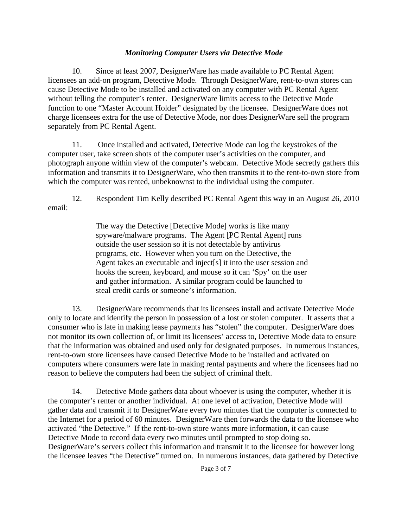## *Monitoring Computer Users via Detective Mode*

10. Since at least 2007, DesignerWare has made available to PC Rental Agent licensees an add-on program, Detective Mode. Through DesignerWare, rent-to-own stores can cause Detective Mode to be installed and activated on any computer with PC Rental Agent without telling the computer's renter. DesignerWare limits access to the Detective Mode function to one "Master Account Holder" designated by the licensee. DesignerWare does not charge licensees extra for the use of Detective Mode, nor does DesignerWare sell the program separately from PC Rental Agent.

11. Once installed and activated, Detective Mode can log the keystrokes of the computer user, take screen shots of the computer user's activities on the computer, and photograph anyone within view of the computer's webcam. Detective Mode secretly gathers this information and transmits it to DesignerWare, who then transmits it to the rent-to-own store from which the computer was rented, unbeknownst to the individual using the computer.

12. Respondent Tim Kelly described PC Rental Agent this way in an August 26, 2010 email:

> The way the Detective [Detective Mode] works is like many spyware/malware programs. The Agent [PC Rental Agent] runs outside the user session so it is not detectable by antivirus programs, etc. However when you turn on the Detective, the Agent takes an executable and inject[s] it into the user session and hooks the screen, keyboard, and mouse so it can 'Spy' on the user and gather information. A similar program could be launched to steal credit cards or someone's information.

13. DesignerWare recommends that its licensees install and activate Detective Mode only to locate and identify the person in possession of a lost or stolen computer. It asserts that a consumer who is late in making lease payments has "stolen" the computer. DesignerWare does not monitor its own collection of, or limit its licensees' access to, Detective Mode data to ensure that the information was obtained and used only for designated purposes. In numerous instances, rent-to-own store licensees have caused Detective Mode to be installed and activated on computers where consumers were late in making rental payments and where the licensees had no reason to believe the computers had been the subject of criminal theft.

14. Detective Mode gathers data about whoever is using the computer, whether it is the computer's renter or another individual. At one level of activation, Detective Mode will gather data and transmit it to DesignerWare every two minutes that the computer is connected to the Internet for a period of 60 minutes. DesignerWare then forwards the data to the licensee who activated "the Detective." If the rent-to-own store wants more information, it can cause Detective Mode to record data every two minutes until prompted to stop doing so. DesignerWare's servers collect this information and transmit it to the licensee for however long the licensee leaves "the Detective" turned on. In numerous instances, data gathered by Detective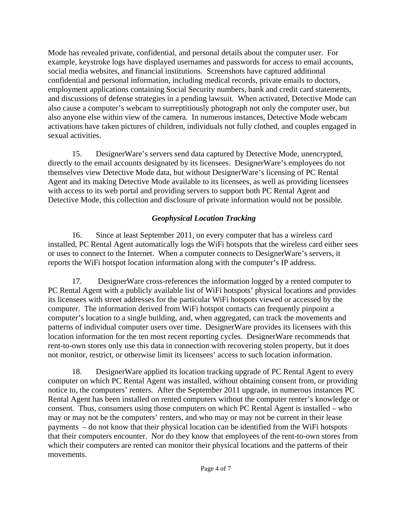Mode has revealed private, confidential, and personal details about the computer user. For example, keystroke logs have displayed usernames and passwords for access to email accounts, social media websites, and financial institutions. Screenshots have captured additional confidential and personal information, including medical records, private emails to doctors, employment applications containing Social Security numbers, bank and credit card statements, and discussions of defense strategies in a pending lawsuit. When activated, Detective Mode can also cause a computer's webcam to surreptitiously photograph not only the computer user, but also anyone else within view of the camera. In numerous instances, Detective Mode webcam activations have taken pictures of children, individuals not fully clothed, and couples engaged in sexual activities.

15. DesignerWare's servers send data captured by Detective Mode, unencrypted, directly to the email accounts designated by its licensees. DesignerWare's employees do not themselves view Detective Mode data, but without DesignerWare's licensing of PC Rental Agent and its making Detective Mode available to its licensees, as well as providing licensees with access to its web portal and providing servers to support both PC Rental Agent and Detective Mode, this collection and disclosure of private information would not be possible.

# *Geophysical Location Tracking*

16. Since at least September 2011, on every computer that has a wireless card installed, PC Rental Agent automatically logs the WiFi hotspots that the wireless card either sees or uses to connect to the Internet. When a computer connects to DesignerWare's servers, it reports the WiFi hotspot location information along with the computer's IP address.

17. DesignerWare cross-references the information logged by a rented computer to PC Rental Agent with a publicly available list of WiFi hotspots' physical locations and provides its licensees with street addresses for the particular WiFi hotspots viewed or accessed by the computer. The information derived from WiFi hotspot contacts can frequently pinpoint a computer's location to a single building, and, when aggregated, can track the movements and patterns of individual computer users over time. DesignerWare provides its licensees with this location information for the ten most recent reporting cycles. DesignerWare recommends that rent-to-own stores only use this data in connection with recovering stolen property, but it does not monitor, restrict, or otherwise limit its licensees' access to such location information.

18. DesignerWare applied its location tracking upgrade of PC Rental Agent to every computer on which PC Rental Agent was installed, without obtaining consent from, or providing notice to, the computers' renters. After the September 2011 upgrade, in numerous instances PC Rental Agent has been installed on rented computers without the computer renter's knowledge or consent. Thus, consumers using those computers on which PC Rental Agent is installed – who may or may not be the computers' renters, and who may or may not be current in their lease payments – do not know that their physical location can be identified from the WiFi hotspots that their computers encounter. Nor do they know that employees of the rent-to-own stores from which their computers are rented can monitor their physical locations and the patterns of their movements.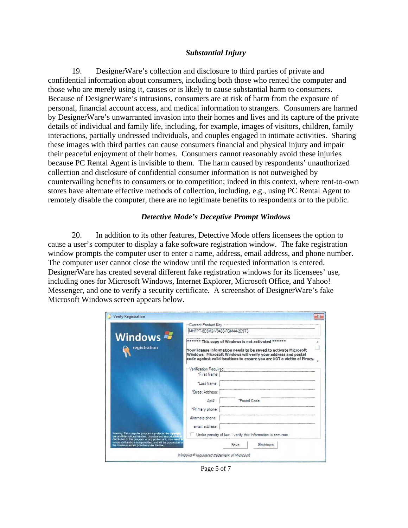#### *Substantial Injury*

19. DesignerWare's collection and disclosure to third parties of private and confidential information about consumers, including both those who rented the computer and those who are merely using it, causes or is likely to cause substantial harm to consumers. Because of DesignerWare's intrusions, consumers are at risk of harm from the exposure of personal, financial account access, and medical information to strangers. Consumers are harmed by DesignerWare's unwarranted invasion into their homes and lives and its capture of the private details of individual and family life, including, for example, images of visitors, children, family interactions, partially undressed individuals, and couples engaged in intimate activities. Sharing these images with third parties can cause consumers financial and physical injury and impair their peaceful enjoyment of their homes. Consumers cannot reasonably avoid these injuries because PC Rental Agent is invisible to them. The harm caused by respondents' unauthorized collection and disclosure of confidential consumer information is not outweighed by countervailing benefits to consumers or to competition; indeed in this context, where rent-to-own stores have alternate effective methods of collection, including, e.g., using PC Rental Agent to remotely disable the computer, there are no legitimate benefits to respondents or to the public.

#### *Detective Mode's Deceptive Prompt Windows*

20. In addition to its other features, Detective Mode offers licensees the option to cause a user's computer to display a fake software registration window. The fake registration window prompts the computer user to enter a name, address, email address, and phone number. The computer user cannot close the window until the requested information is entered. DesignerWare has created several different fake registration windows for its licensees' use, including ones for Microsoft Windows, Internet Explorer, Microsoft Office, and Yahoo! Messenger, and one to verify a security certificate. A screenshot of DesignerWare's fake Microsoft Windows screen appears below.

|                                                                                                                                                                                          | Current Product Key                                                                                                                                                                                                                                                                                  |               |                                                              |  |
|------------------------------------------------------------------------------------------------------------------------------------------------------------------------------------------|------------------------------------------------------------------------------------------------------------------------------------------------------------------------------------------------------------------------------------------------------------------------------------------------------|---------------|--------------------------------------------------------------|--|
|                                                                                                                                                                                          | MHFPT-8C8M2-V9488-FGM44-2C9T3<br>****** This copy of Windows is not activated ******<br>Your license information needs to be saved to activate Microsoft<br>Windows. Microsoft Windows will verify your address and postal<br>code against valid locations to ensure you are NOT a victim of Piracy. |               |                                                              |  |
| Windows<br>registration                                                                                                                                                                  |                                                                                                                                                                                                                                                                                                      |               |                                                              |  |
|                                                                                                                                                                                          | Verification Required:                                                                                                                                                                                                                                                                               |               |                                                              |  |
|                                                                                                                                                                                          | "First Name:                                                                                                                                                                                                                                                                                         |               |                                                              |  |
|                                                                                                                                                                                          | "Last Name:                                                                                                                                                                                                                                                                                          |               |                                                              |  |
|                                                                                                                                                                                          | "Street Address:                                                                                                                                                                                                                                                                                     |               |                                                              |  |
|                                                                                                                                                                                          | Apt#                                                                                                                                                                                                                                                                                                 | *Postal Code: |                                                              |  |
|                                                                                                                                                                                          | *Primary phone:                                                                                                                                                                                                                                                                                      |               |                                                              |  |
|                                                                                                                                                                                          | Alternate phone:                                                                                                                                                                                                                                                                                     |               |                                                              |  |
|                                                                                                                                                                                          | email address:                                                                                                                                                                                                                                                                                       |               |                                                              |  |
| Waming This computer program is protected by copyright<br>law and International treaties. Unauthorized reproduction<br>distribution of this program, or any portion of it, may result in |                                                                                                                                                                                                                                                                                                      |               | Under penalty of law, I verify this information is accurate. |  |
| severe civil and criminal penalties, and will be prosecuted to<br>the maximum extent possible under the law.                                                                             |                                                                                                                                                                                                                                                                                                      | Save          | Shutdown                                                     |  |

Page 5 of 7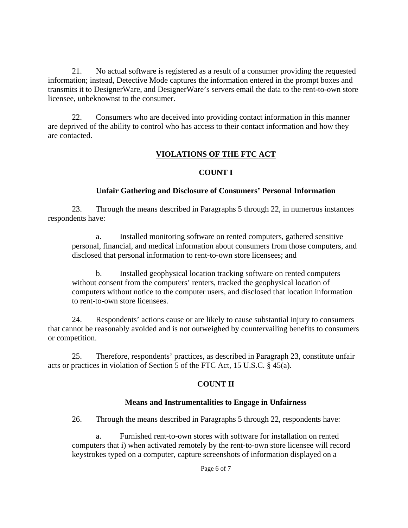21. No actual software is registered as a result of a consumer providing the requested information; instead, Detective Mode captures the information entered in the prompt boxes and transmits it to DesignerWare, and DesignerWare's servers email the data to the rent-to-own store licensee, unbeknownst to the consumer.

22. Consumers who are deceived into providing contact information in this manner are deprived of the ability to control who has access to their contact information and how they are contacted.

## **VIOLATIONS OF THE FTC ACT**

## **COUNT I**

### **Unfair Gathering and Disclosure of Consumers' Personal Information**

23. Through the means described in Paragraphs 5 through 22, in numerous instances respondents have:

a. Installed monitoring software on rented computers, gathered sensitive personal, financial, and medical information about consumers from those computers, and disclosed that personal information to rent-to-own store licensees; and

b. Installed geophysical location tracking software on rented computers without consent from the computers' renters, tracked the geophysical location of computers without notice to the computer users, and disclosed that location information to rent-to-own store licensees.

24. Respondents' actions cause or are likely to cause substantial injury to consumers that cannot be reasonably avoided and is not outweighed by countervailing benefits to consumers or competition.

25. Therefore, respondents' practices, as described in Paragraph 23, constitute unfair acts or practices in violation of Section 5 of the FTC Act, 15 U.S.C. § 45(a).

## **COUNT II**

### **Means and Instrumentalities to Engage in Unfairness**

26. Through the means described in Paragraphs 5 through 22, respondents have:

a. Furnished rent-to-own stores with software for installation on rented computers that i) when activated remotely by the rent-to-own store licensee will record keystrokes typed on a computer, capture screenshots of information displayed on a